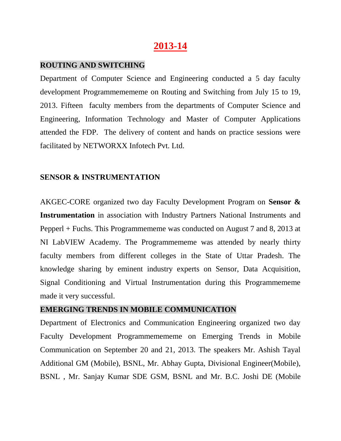# **2013-14**

#### **ROUTING AND SWITCHING**

Department of Computer Science and Engineering conducted a 5 day faculty development Programmemememe on Routing and Switching from July 15 to 19, 2013. Fifteen faculty members from the departments of Computer Science and Engineering, Information Technology and Master of Computer Applications attended the FDP. The delivery of content and hands on practice sessions were facilitated by NETWORXX Infotech Pvt. Ltd.

## **SENSOR & INSTRUMENTATION**

AKGEC-CORE organized two day Faculty Development Program on **Sensor & Instrumentation** in association with Industry Partners National Instruments and Pepperl + Fuchs. This Programmememe was conducted on August 7 and 8, 2013 at NI LabVIEW Academy. The Programmememe was attended by nearly thirty faculty members from different colleges in the State of Uttar Pradesh. The knowledge sharing by eminent industry experts on Sensor, Data Acquisition, Signal Conditioning and Virtual Instrumentation during this Programmememe made it very successful.

#### **EMERGING TRENDS IN MOBILE COMMUNICATION**

Department of Electronics and Communication Engineering organized two day Faculty Development Programmemememe on Emerging Trends in Mobile Communication on September 20 and 21, 2013. The speakers Mr. Ashish Tayal Additional GM (Mobile), BSNL, Mr. Abhay Gupta, Divisional Engineer(Mobile), BSNL , Mr. Sanjay Kumar SDE GSM, BSNL and Mr. B.C. Joshi DE (Mobile